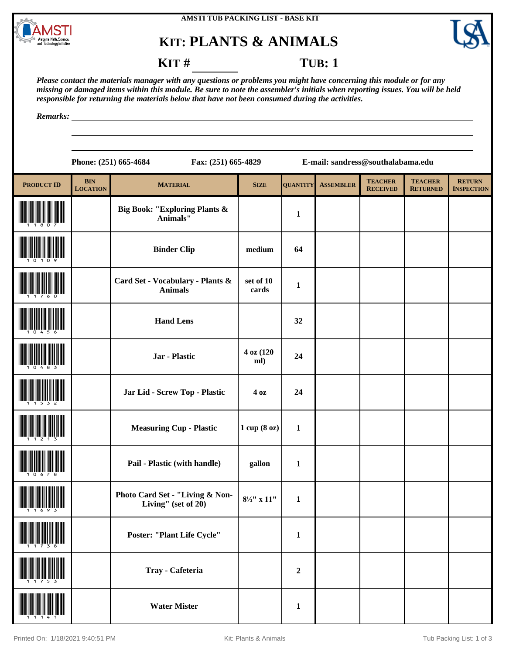

## **AMSTI TUB PACKING LIST - BASE KIT**

# **KIT: PLANTS & ANIMALS**



**RETURN INSPECTION**

**TEACHER RETURNED**

**KIT** # **TUB**: 1

*Please contact the materials manager with any questions or problems you might have concerning this module or for any missing or damaged items within this module. Be sure to note the assembler's initials when reporting issues. You will be held responsible for returning the materials below that have not been consumed during the activities.*

<u> 1980 - Johann Barbara, martxa amerikan personal (</u>

*Remarks:*

|                   |                               | Phone: (251) 665-4684                                     | Fax: (251) 665-4829    |                 | E-mail: sandress@southalabama.edu |                                   |                               |  |
|-------------------|-------------------------------|-----------------------------------------------------------|------------------------|-----------------|-----------------------------------|-----------------------------------|-------------------------------|--|
| <b>PRODUCT ID</b> | <b>BIN</b><br><b>LOCATION</b> | <b>MATERIAL</b>                                           | <b>SIZE</b>            | <b>OUANTITY</b> | <b>ASSEMBLER</b>                  | <b>TEACHER</b><br><b>RECEIVED</b> | <b>TEACH</b><br><b>RETURN</b> |  |
|                   |                               | <b>Big Book: "Exploring Plants &amp;</b><br>Animals"      |                        | $\mathbf{1}$    |                                   |                                   |                               |  |
|                   |                               | <b>Binder Clip</b>                                        | medium                 | 64              |                                   |                                   |                               |  |
|                   |                               | Card Set - Vocabulary - Plants &<br><b>Animals</b>        | set of 10<br>cards     | $\mathbf{1}$    |                                   |                                   |                               |  |
|                   |                               | <b>Hand Lens</b>                                          |                        | 32              |                                   |                                   |                               |  |
|                   |                               | Jar - Plastic                                             | 4 oz (120<br>ml)       | 24              |                                   |                                   |                               |  |
|                   |                               | Jar Lid - Screw Top - Plastic                             | 4 <sub>oz</sub>        | 24              |                                   |                                   |                               |  |
|                   |                               | <b>Measuring Cup - Plastic</b>                            | 1 cup (8 oz)           | $\mathbf{1}$    |                                   |                                   |                               |  |
|                   |                               | Pail - Plastic (with handle)                              | gallon                 | $\mathbf{1}$    |                                   |                                   |                               |  |
|                   |                               | Photo Card Set - "Living & Non-<br>Living" (set of $20$ ) | $8\frac{1}{2}$ " x 11" | $\mathbf{1}$    |                                   |                                   |                               |  |
|                   |                               |                                                           |                        |                 |                                   |                                   |                               |  |

Poster: "Plant Life Cycle" | 1

(11141) **Water Mister <sup>1</sup>**

(11753) **Tray - Cafeteria <sup>2</sup>**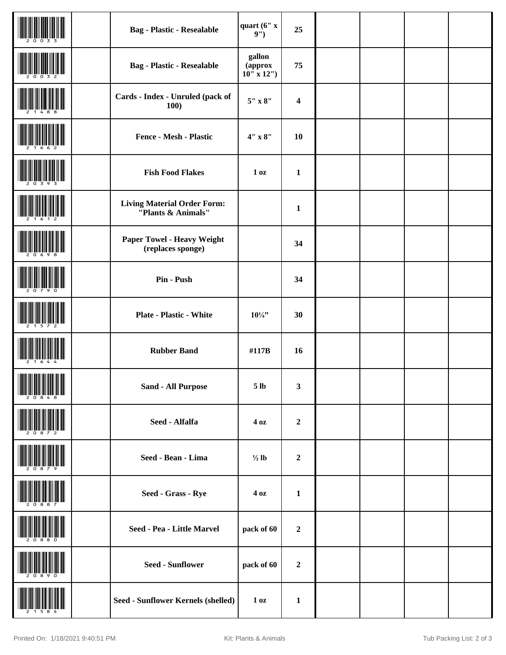|                            | <b>Bag</b> - Plastic - Resealable                        | quart $(6"x)$<br>9")                          | 25                      |  |  |
|----------------------------|----------------------------------------------------------|-----------------------------------------------|-------------------------|--|--|
|                            | <b>Bag - Plastic - Resealable</b>                        | gallon<br>$\left($ approx<br>$10''$ x $12'')$ | 75                      |  |  |
|                            | Cards - Index - Unruled (pack of<br><b>100)</b>          | $5"$ x $8"$                                   | $\overline{\mathbf{4}}$ |  |  |
|                            | <b>Fence - Mesh - Plastic</b>                            | 4" x 8"                                       | 10                      |  |  |
|                            | <b>Fish Food Flakes</b>                                  | 1 <sub>oz</sub>                               | $\mathbf{1}$            |  |  |
|                            | <b>Living Material Order Form:</b><br>"Plants & Animals" |                                               | $\mathbf{1}$            |  |  |
|                            | Paper Towel - Heavy Weight<br>(replaces sponge)          |                                               | 34                      |  |  |
|                            | Pin - Push                                               |                                               | 34                      |  |  |
|                            | <b>Plate - Plastic - White</b>                           | $10\frac{1}{4}$ "                             | 30                      |  |  |
|                            | <b>Rubber Band</b>                                       | #117B                                         | 16                      |  |  |
| <b>THE REPORT OF STATE</b> | <b>Sand - All Purpose</b>                                | 5 <sub>lb</sub>                               | 3                       |  |  |
|                            | Seed - Alfalfa                                           | 40z                                           | $\boldsymbol{2}$        |  |  |
|                            | Seed - Bean - Lima                                       | $\frac{1}{2}$ lb                              | $\boldsymbol{2}$        |  |  |
|                            | Seed - Grass - Rye                                       | 4 <sub>oz</sub>                               | $\mathbf{1}$            |  |  |
|                            | Seed - Pea - Little Marvel                               | pack of 60                                    | $\boldsymbol{2}$        |  |  |
|                            | <b>Seed - Sunflower</b>                                  | pack of 60                                    | $\boldsymbol{2}$        |  |  |
|                            | Seed - Sunflower Kernels (shelled)                       | 1 <sub>oz</sub>                               | $\mathbf{1}$            |  |  |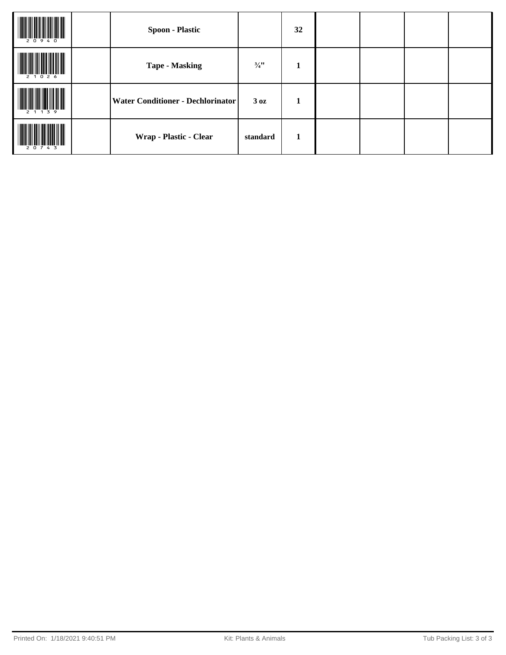| 20940        | <b>Spoon - Plastic</b>                   |                 | 32 |  |  |
|--------------|------------------------------------------|-----------------|----|--|--|
| 2 1 0 2 6    | <b>Tape - Masking</b>                    | $\frac{3}{4}$ " | л  |  |  |
| 2 1 1 3 9    | <b>Water Conditioner - Dechlorinator</b> | 3 <sub>oz</sub> | 1  |  |  |
| 2 0 7<br>4 3 | Wrap - Plastic - Clear                   | standard        | 1  |  |  |